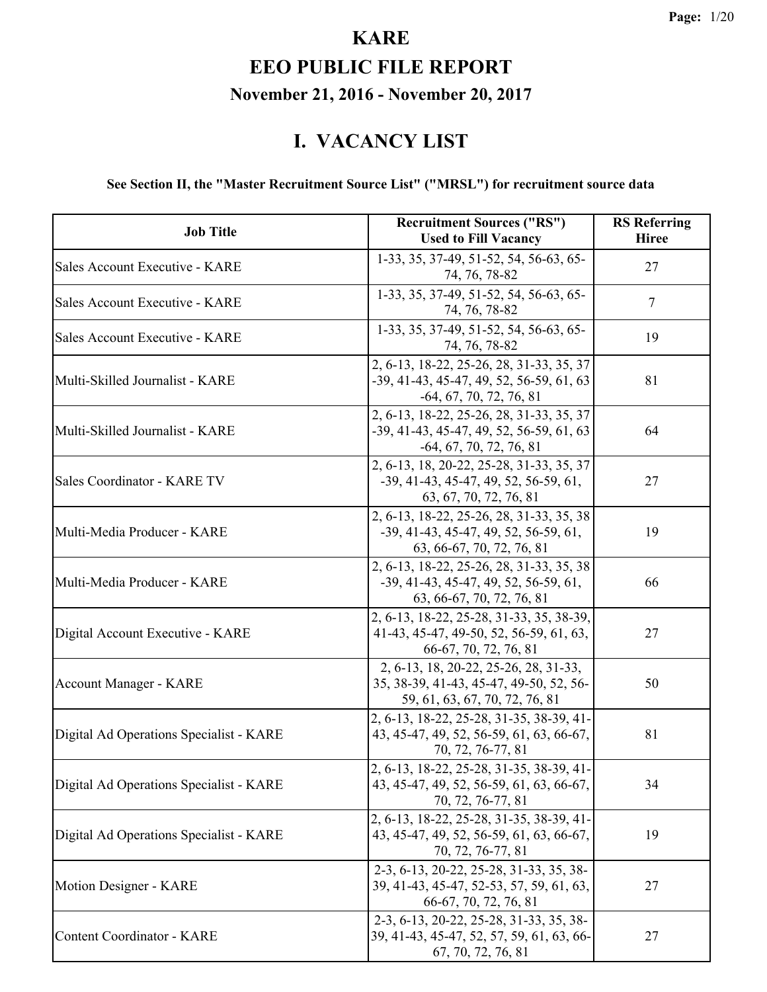#### **EEO PUBLIC FILE REPORT November 21, 2016 - November 20, 2017**

#### **I. VACANCY LIST**

#### **See Section II, the "Master Recruitment Source List" ("MRSL") for recruitment source data**

| <b>Job Title</b>                        | <b>Recruitment Sources ("RS")</b><br><b>Used to Fill Vacancy</b>                                                    | <b>RS</b> Referring<br><b>Hiree</b> |
|-----------------------------------------|---------------------------------------------------------------------------------------------------------------------|-------------------------------------|
| Sales Account Executive - KARE          | 1-33, 35, 37-49, 51-52, 54, 56-63, 65-<br>74, 76, 78-82                                                             | 27                                  |
| Sales Account Executive - KARE          | 1-33, 35, 37-49, 51-52, 54, 56-63, 65-<br>74, 76, 78-82                                                             | $\tau$                              |
| Sales Account Executive - KARE          | 1-33, 35, 37-49, 51-52, 54, 56-63, 65-<br>74, 76, 78-82                                                             | 19                                  |
| Multi-Skilled Journalist - KARE         | 2, 6-13, 18-22, 25-26, 28, 31-33, 35, 37<br>-39, 41-43, 45-47, 49, 52, 56-59, 61, 63<br>$-64, 67, 70, 72, 76, 81$   | 81                                  |
| Multi-Skilled Journalist - KARE         | 2, 6-13, 18-22, 25-26, 28, 31-33, 35, 37<br>$-39, 41-43, 45-47, 49, 52, 56-59, 61, 63$<br>$-64, 67, 70, 72, 76, 81$ | 64                                  |
| Sales Coordinator - KARE TV             | 2, 6-13, 18, 20-22, 25-28, 31-33, 35, 37<br>$-39, 41-43, 45-47, 49, 52, 56-59, 61,$<br>63, 67, 70, 72, 76, 81       | 27                                  |
| Multi-Media Producer - KARE             | 2, 6-13, 18-22, 25-26, 28, 31-33, 35, 38<br>$-39, 41-43, 45-47, 49, 52, 56-59, 61,$<br>63, 66-67, 70, 72, 76, 81    | 19                                  |
| Multi-Media Producer - KARE             | 2, 6-13, 18-22, 25-26, 28, 31-33, 35, 38<br>$-39, 41-43, 45-47, 49, 52, 56-59, 61,$<br>63, 66-67, 70, 72, 76, 81    | 66                                  |
| Digital Account Executive - KARE        | 2, 6-13, 18-22, 25-28, 31-33, 35, 38-39,<br>41-43, 45-47, 49-50, 52, 56-59, 61, 63,<br>66-67, 70, 72, 76, 81        | 27                                  |
| Account Manager - KARE                  | 2, 6-13, 18, 20-22, 25-26, 28, 31-33,<br>35, 38-39, 41-43, 45-47, 49-50, 52, 56-<br>59, 61, 63, 67, 70, 72, 76, 81  | 50                                  |
| Digital Ad Operations Specialist - KARE | 2, 6-13, 18-22, 25-28, 31-35, 38-39, 41-<br>43, 45-47, 49, 52, 56-59, 61, 63, 66-67,<br>70, 72, 76-77, 81           | 81                                  |
| Digital Ad Operations Specialist - KARE | 2, 6-13, 18-22, 25-28, 31-35, 38-39, 41-<br>43, 45-47, 49, 52, 56-59, 61, 63, 66-67,<br>70, 72, 76-77, 81           | 34                                  |
| Digital Ad Operations Specialist - KARE | 2, 6-13, 18-22, 25-28, 31-35, 38-39, 41-<br>43, 45-47, 49, 52, 56-59, 61, 63, 66-67,<br>70, 72, 76-77, 81           | 19                                  |
| Motion Designer - KARE                  | 2-3, 6-13, 20-22, 25-28, 31-33, 35, 38-<br>39, 41-43, 45-47, 52-53, 57, 59, 61, 63,<br>66-67, 70, 72, 76, 81        | 27                                  |
| Content Coordinator - KARE              | 2-3, 6-13, 20-22, 25-28, 31-33, 35, 38-<br>39, 41-43, 45-47, 52, 57, 59, 61, 63, 66-<br>67, 70, 72, 76, 81          | 27                                  |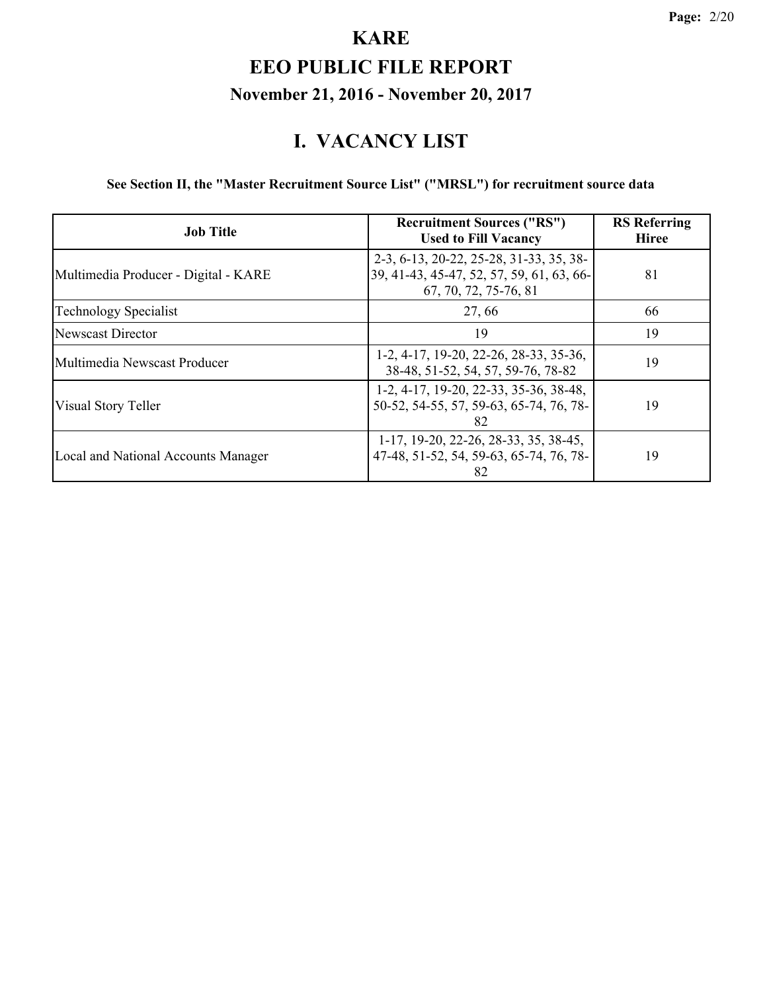#### **I. VACANCY LIST**

**See Section II, the "Master Recruitment Source List" ("MRSL") for recruitment source data**

| <b>Job Title</b>                           | <b>Recruitment Sources ("RS")</b><br><b>Used to Fill Vacancy</b>                                              | <b>RS</b> Referring<br><b>Hiree</b> |
|--------------------------------------------|---------------------------------------------------------------------------------------------------------------|-------------------------------------|
| Multimedia Producer - Digital - KARE       | 2-3, 6-13, 20-22, 25-28, 31-33, 35, 38-<br>39, 41-43, 45-47, 52, 57, 59, 61, 63, 66-<br>67, 70, 72, 75-76, 81 | 81                                  |
| Technology Specialist                      | 27,66                                                                                                         | 66                                  |
| Newscast Director                          | 19                                                                                                            | 19                                  |
| Multimedia Newscast Producer               | 1-2, 4-17, 19-20, 22-26, 28-33, 35-36,<br>38-48, 51-52, 54, 57, 59-76, 78-82                                  | 19                                  |
| Visual Story Teller                        | 1-2, 4-17, 19-20, 22-33, 35-36, 38-48,<br>50-52, 54-55, 57, 59-63, 65-74, 76, 78-<br>82                       | 19                                  |
| <b>Local and National Accounts Manager</b> | 1-17, 19-20, 22-26, 28-33, 35, 38-45,<br>47-48, 51-52, 54, 59-63, 65-74, 76, 78-<br>82                        | 19                                  |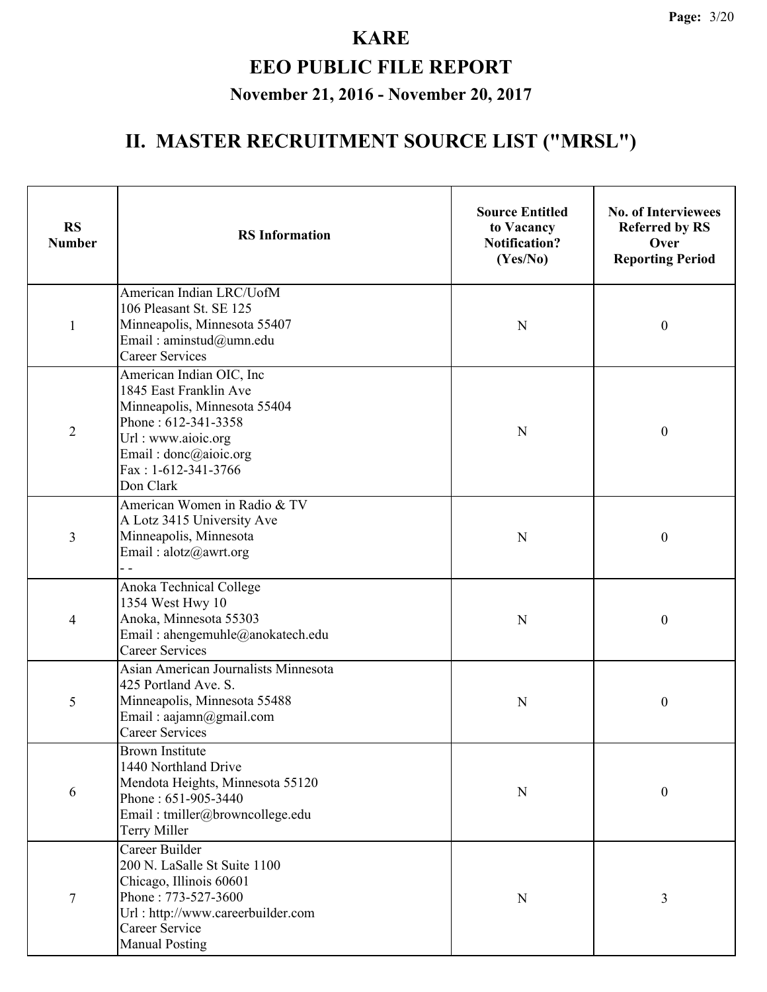| <b>RS</b><br><b>Number</b> | <b>RS</b> Information                                                                                                                                                                        | <b>Source Entitled</b><br>to Vacancy<br><b>Notification?</b><br>(Yes/No) | <b>No. of Interviewees</b><br><b>Referred by RS</b><br>Over<br><b>Reporting Period</b> |
|----------------------------|----------------------------------------------------------------------------------------------------------------------------------------------------------------------------------------------|--------------------------------------------------------------------------|----------------------------------------------------------------------------------------|
| 1                          | American Indian LRC/UofM<br>106 Pleasant St. SE 125<br>Minneapolis, Minnesota 55407<br>Email: aminstud@umn.edu<br><b>Career Services</b>                                                     | N                                                                        | 0                                                                                      |
| $\overline{2}$             | American Indian OIC, Inc<br>1845 East Franklin Ave<br>Minneapolis, Minnesota 55404<br>Phone: 612-341-3358<br>Url: www.aioic.org<br>Email: donc@aioic.org<br>Fax: 1-612-341-3766<br>Don Clark | N                                                                        | $\boldsymbol{0}$                                                                       |
| 3                          | American Women in Radio & TV<br>A Lotz 3415 University Ave<br>Minneapolis, Minnesota<br>Email: alotz@awrt.org                                                                                | N                                                                        | $\boldsymbol{0}$                                                                       |
| 4                          | Anoka Technical College<br>1354 West Hwy 10<br>Anoka, Minnesota 55303<br>Email: ahengemuhle@anokatech.edu<br><b>Career Services</b>                                                          | N                                                                        | $\boldsymbol{0}$                                                                       |
| 5                          | Asian American Journalists Minnesota<br>425 Portland Ave. S.<br>Minneapolis, Minnesota 55488<br>Email: aajamn@gmail.com<br><b>Career Services</b>                                            | N                                                                        | $\boldsymbol{0}$                                                                       |
| 6                          | <b>Brown Institute</b><br>1440 Northland Drive<br>Mendota Heights, Minnesota 55120<br>Phone: 651-905-3440<br>Email: tmiller@browncollege.edu<br><b>Terry Miller</b>                          | $\mathbf N$                                                              | $\boldsymbol{0}$                                                                       |
| 7                          | Career Builder<br>200 N. LaSalle St Suite 1100<br>Chicago, Illinois 60601<br>Phone: 773-527-3600<br>Url: http://www.careerbuilder.com<br>Career Service<br><b>Manual Posting</b>             | $\mathbf N$                                                              | 3                                                                                      |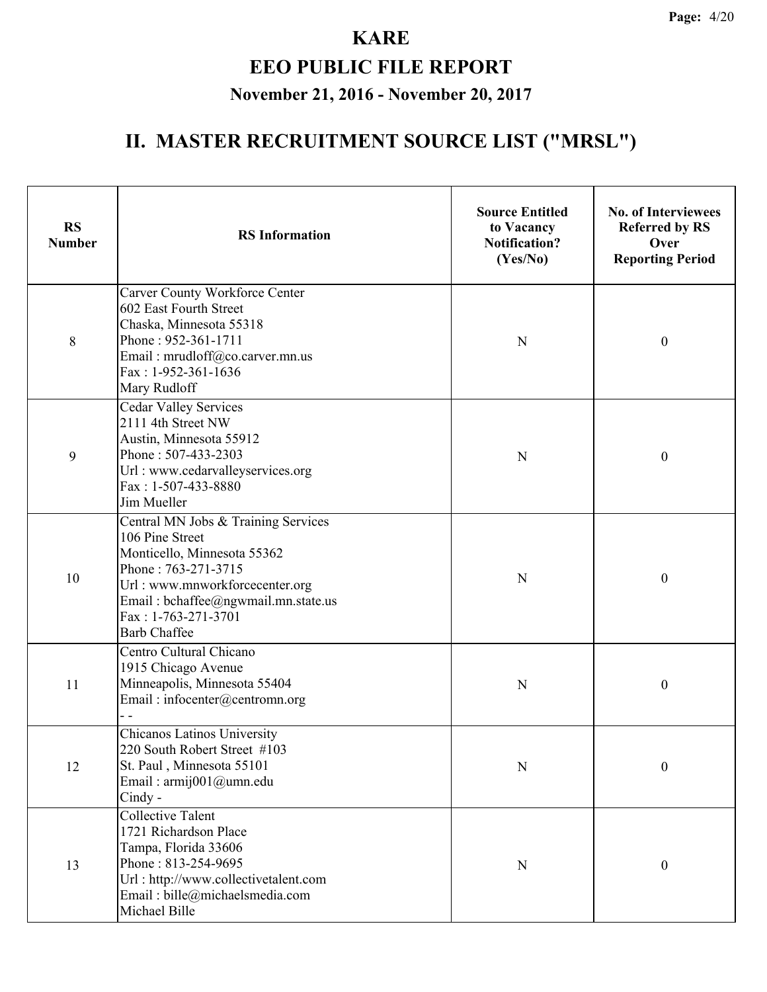| <b>RS</b><br><b>Number</b> | <b>RS</b> Information                                                                                                                                                                                                               | <b>Source Entitled</b><br>to Vacancy<br><b>Notification?</b><br>(Yes/No) | <b>No. of Interviewees</b><br><b>Referred by RS</b><br>Over<br><b>Reporting Period</b> |
|----------------------------|-------------------------------------------------------------------------------------------------------------------------------------------------------------------------------------------------------------------------------------|--------------------------------------------------------------------------|----------------------------------------------------------------------------------------|
| 8                          | Carver County Workforce Center<br>602 East Fourth Street<br>Chaska, Minnesota 55318<br>Phone: 952-361-1711<br>Email: mrudloff@co.carver.mn.us<br>Fax: 1-952-361-1636<br>Mary Rudloff                                                | N                                                                        | $\boldsymbol{0}$                                                                       |
| 9                          | <b>Cedar Valley Services</b><br>2111 4th Street NW<br>Austin, Minnesota 55912<br>Phone: 507-433-2303<br>Url: www.cedarvalleyservices.org<br>Fax: 1-507-433-8880<br>Jim Mueller                                                      | N                                                                        | $\boldsymbol{0}$                                                                       |
| 10                         | Central MN Jobs & Training Services<br>106 Pine Street<br>Monticello, Minnesota 55362<br>Phone: 763-271-3715<br>Url: www.mnworkforcecenter.org<br>Email: bchaffee@ngwmail.mn.state.us<br>Fax: 1-763-271-3701<br><b>Barb Chaffee</b> | N                                                                        | $\boldsymbol{0}$                                                                       |
| 11                         | Centro Cultural Chicano<br>1915 Chicago Avenue<br>Minneapolis, Minnesota 55404<br>Email: infocenter@centromn.org                                                                                                                    | N                                                                        | $\boldsymbol{0}$                                                                       |
| 12                         | Chicanos Latinos University<br>220 South Robert Street #103<br>St. Paul, Minnesota 55101<br>Email: armij001@umn.edu<br>Cindy -                                                                                                      | $\mathbf N$                                                              | $\boldsymbol{0}$                                                                       |
| 13                         | <b>Collective Talent</b><br>1721 Richardson Place<br>Tampa, Florida 33606<br>Phone: 813-254-9695<br>Url: http://www.collectivetalent.com<br>Email: bille@michaelsmedia.com<br>Michael Bille                                         | $\mathbf N$                                                              | $\boldsymbol{0}$                                                                       |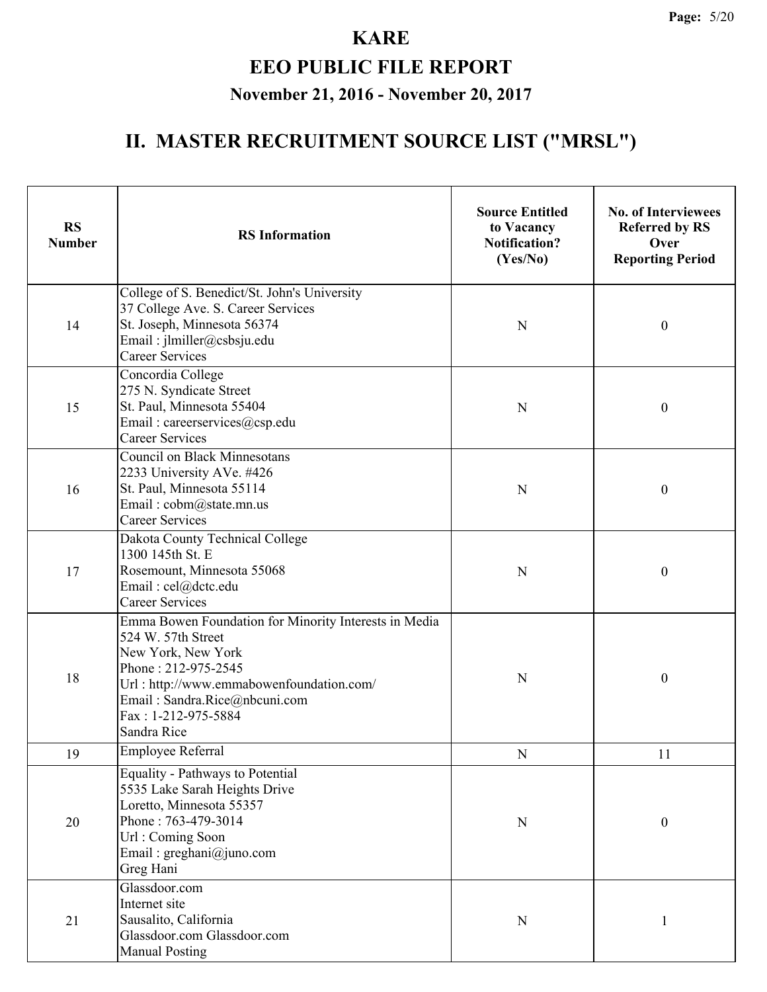| <b>RS</b><br><b>Number</b> | <b>RS</b> Information                                                                                                                                                                                                                       | <b>Source Entitled</b><br>to Vacancy<br><b>Notification?</b><br>(Yes/No) | <b>No. of Interviewees</b><br><b>Referred by RS</b><br>Over<br><b>Reporting Period</b> |
|----------------------------|---------------------------------------------------------------------------------------------------------------------------------------------------------------------------------------------------------------------------------------------|--------------------------------------------------------------------------|----------------------------------------------------------------------------------------|
| 14                         | College of S. Benedict/St. John's University<br>37 College Ave. S. Career Services<br>St. Joseph, Minnesota 56374<br>Email: jlmiller@csbsju.edu<br><b>Career Services</b>                                                                   | N                                                                        | $\boldsymbol{0}$                                                                       |
| 15                         | Concordia College<br>275 N. Syndicate Street<br>St. Paul, Minnesota 55404<br>Email: careerservices@csp.edu<br><b>Career Services</b>                                                                                                        | N                                                                        | $\boldsymbol{0}$                                                                       |
| 16                         | <b>Council on Black Minnesotans</b><br>2233 University AVe. #426<br>St. Paul, Minnesota 55114<br>Email: cobm@state.mn.us<br><b>Career Services</b>                                                                                          | N                                                                        | $\boldsymbol{0}$                                                                       |
| 17                         | Dakota County Technical College<br>1300 145th St. E<br>Rosemount, Minnesota 55068<br>Email: cel@dctc.edu<br><b>Career Services</b>                                                                                                          | N                                                                        | $\boldsymbol{0}$                                                                       |
| 18                         | Emma Bowen Foundation for Minority Interests in Media<br>524 W. 57th Street<br>New York, New York<br>Phone: 212-975-2545<br>Url: http://www.emmabowenfoundation.com/<br>Email: Sandra.Rice@nbcuni.com<br>Fax: 1-212-975-5884<br>Sandra Rice | N                                                                        | $\boldsymbol{0}$                                                                       |
| 19                         | Employee Referral                                                                                                                                                                                                                           | ${\bf N}$                                                                | 11                                                                                     |
| 20                         | Equality - Pathways to Potential<br>5535 Lake Sarah Heights Drive<br>Loretto, Minnesota 55357<br>Phone: 763-479-3014<br>Url: Coming Soon<br>Email: greghani@juno.com<br>Greg Hani                                                           | $\mathbf N$                                                              | $\boldsymbol{0}$                                                                       |
| 21                         | Glassdoor.com<br>Internet site<br>Sausalito, California<br>Glassdoor.com Glassdoor.com<br><b>Manual Posting</b>                                                                                                                             | N                                                                        |                                                                                        |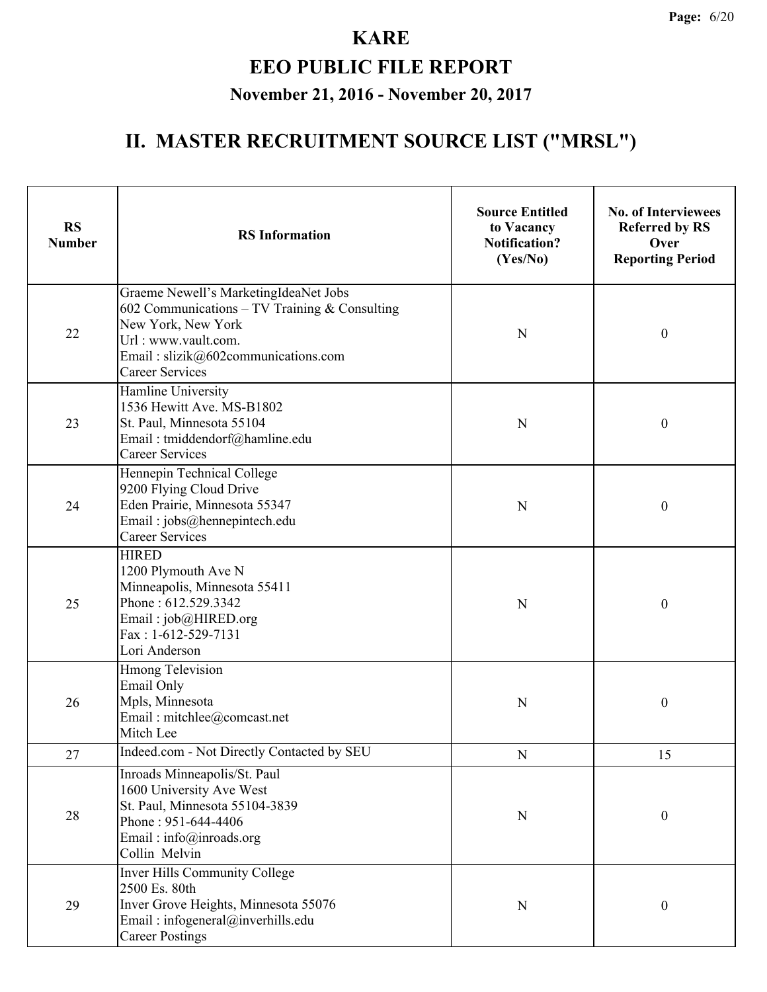| <b>RS</b><br><b>Number</b> | <b>RS</b> Information                                                                                                                                                                                  | <b>Source Entitled</b><br>to Vacancy<br><b>Notification?</b><br>(Yes/No) | <b>No. of Interviewees</b><br><b>Referred by RS</b><br>Over<br><b>Reporting Period</b> |
|----------------------------|--------------------------------------------------------------------------------------------------------------------------------------------------------------------------------------------------------|--------------------------------------------------------------------------|----------------------------------------------------------------------------------------|
| 22                         | Graeme Newell's MarketingIdeaNet Jobs<br>602 Communications – TV Training $&$ Consulting<br>New York, New York<br>Url: www.vault.com.<br>Email: slizik@602communications.com<br><b>Career Services</b> | N                                                                        | $\boldsymbol{0}$                                                                       |
| 23                         | Hamline University<br>1536 Hewitt Ave. MS-B1802<br>St. Paul, Minnesota 55104<br>Email: tmiddendorf@hamline.edu<br><b>Career Services</b>                                                               | N                                                                        | $\boldsymbol{0}$                                                                       |
| 24                         | Hennepin Technical College<br>9200 Flying Cloud Drive<br>Eden Prairie, Minnesota 55347<br>Email: jobs@hennepintech.edu<br><b>Career Services</b>                                                       | N                                                                        | $\boldsymbol{0}$                                                                       |
| 25                         | <b>HIRED</b><br>1200 Plymouth Ave N<br>Minneapolis, Minnesota 55411<br>Phone: 612.529.3342<br>Email: job@HIRED.org<br>Fax: 1-612-529-7131<br>Lori Anderson                                             | N                                                                        | $\boldsymbol{0}$                                                                       |
| 26                         | <b>Hmong Television</b><br>Email Only<br>Mpls, Minnesota<br>Email: mitchlee@comcast.net<br>Mitch Lee                                                                                                   | N                                                                        | $\boldsymbol{0}$                                                                       |
| 27                         | Indeed.com - Not Directly Contacted by SEU                                                                                                                                                             | ${\bf N}$                                                                | 15                                                                                     |
| 28                         | Inroads Minneapolis/St. Paul<br>1600 University Ave West<br>St. Paul, Minnesota 55104-3839<br>Phone: 951-644-4406<br>Email: $info(\hat{\omega})$ inroads.org<br>Collin Melvin                          | N                                                                        | $\boldsymbol{0}$                                                                       |
| 29                         | <b>Inver Hills Community College</b><br>2500 Es. 80th<br>Inver Grove Heights, Minnesota 55076<br>Email: infogeneral@inverhills.edu<br><b>Career Postings</b>                                           | N                                                                        | $\boldsymbol{0}$                                                                       |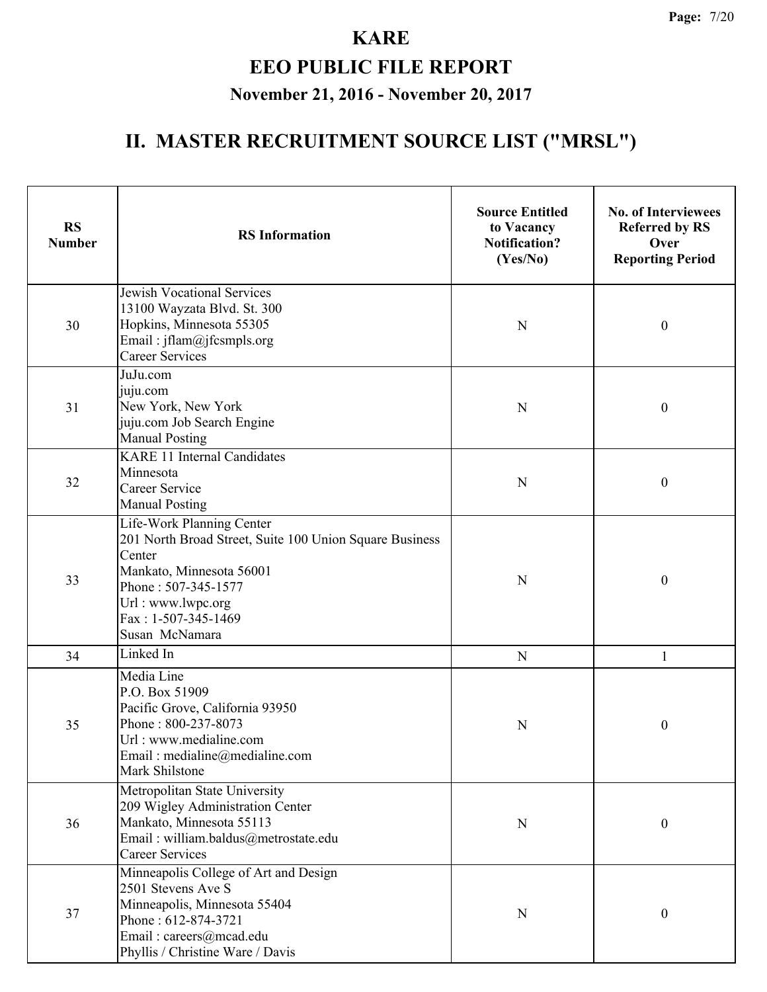| <b>RS</b><br><b>Number</b> | <b>RS</b> Information                                                                                                                                                                                           | <b>Source Entitled</b><br>to Vacancy<br><b>Notification?</b><br>(Yes/No) | <b>No. of Interviewees</b><br><b>Referred by RS</b><br>Over<br><b>Reporting Period</b> |
|----------------------------|-----------------------------------------------------------------------------------------------------------------------------------------------------------------------------------------------------------------|--------------------------------------------------------------------------|----------------------------------------------------------------------------------------|
| 30                         | <b>Jewish Vocational Services</b><br>13100 Wayzata Blvd. St. 300<br>Hopkins, Minnesota 55305<br>Email: jflam@jfcsmpls.org<br><b>Career Services</b>                                                             | N                                                                        | $\boldsymbol{0}$                                                                       |
| 31                         | JuJu.com<br>juju.com<br>New York, New York<br>juju.com Job Search Engine<br><b>Manual Posting</b>                                                                                                               | N                                                                        | $\boldsymbol{0}$                                                                       |
| 32                         | <b>KARE 11 Internal Candidates</b><br>Minnesota<br><b>Career Service</b><br><b>Manual Posting</b>                                                                                                               | N                                                                        | $\boldsymbol{0}$                                                                       |
| 33                         | Life-Work Planning Center<br>201 North Broad Street, Suite 100 Union Square Business<br>Center<br>Mankato, Minnesota 56001<br>Phone: 507-345-1577<br>Url: www.lwpc.org<br>Fax: 1-507-345-1469<br>Susan McNamara | N                                                                        | $\boldsymbol{0}$                                                                       |
| 34                         | Linked In                                                                                                                                                                                                       | ${\bf N}$                                                                | 1                                                                                      |
| 35                         | Media Line<br>P.O. Box 51909<br>Pacific Grove, California 93950<br>Phone: 800-237-8073<br>Url: www.medialine.com<br>Email: medialine@medialine.com<br>Mark Shilstone                                            | N                                                                        | $\boldsymbol{0}$                                                                       |
| 36                         | Metropolitan State University<br>209 Wigley Administration Center<br>Mankato, Minnesota 55113<br>Email: william.baldus@metrostate.edu<br><b>Career Services</b>                                                 | N                                                                        | $\boldsymbol{0}$                                                                       |
| 37                         | Minneapolis College of Art and Design<br>2501 Stevens Ave S<br>Minneapolis, Minnesota 55404<br>Phone: 612-874-3721<br>Email: careers@mcad.edu<br>Phyllis / Christine Ware / Davis                               | N                                                                        | 0                                                                                      |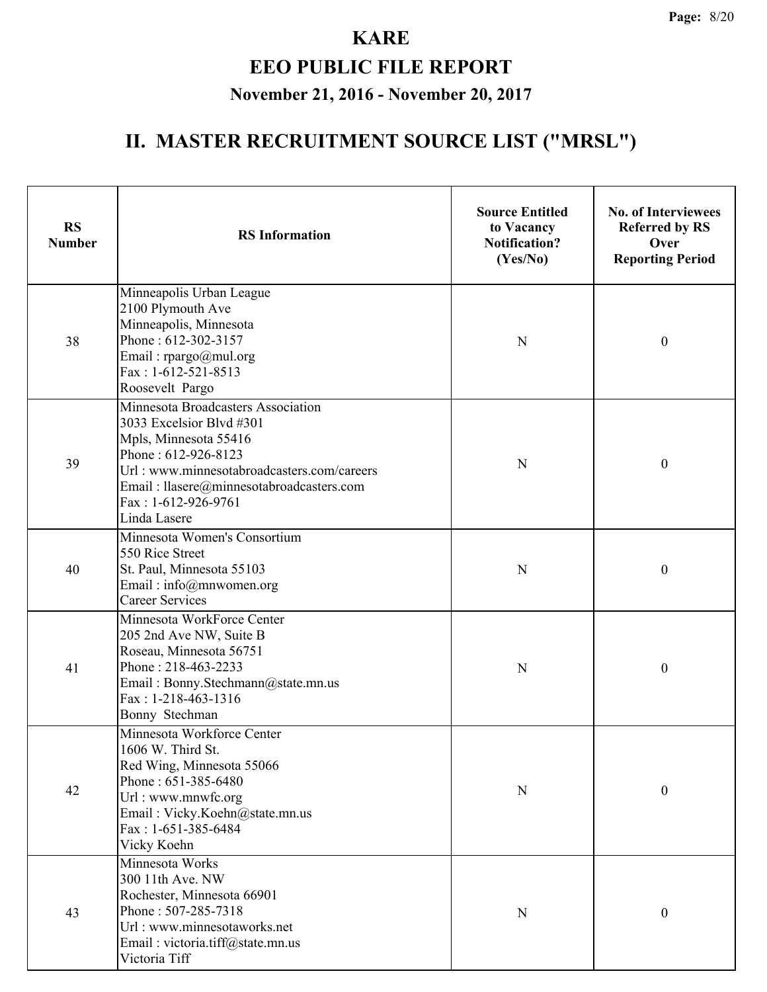| <b>RS</b><br><b>Number</b> | <b>RS</b> Information                                                                                                                                                                                                                           | <b>Source Entitled</b><br>to Vacancy<br><b>Notification?</b><br>(Yes/No) | <b>No. of Interviewees</b><br><b>Referred by RS</b><br>Over<br><b>Reporting Period</b> |
|----------------------------|-------------------------------------------------------------------------------------------------------------------------------------------------------------------------------------------------------------------------------------------------|--------------------------------------------------------------------------|----------------------------------------------------------------------------------------|
| 38                         | Minneapolis Urban League<br>2100 Plymouth Ave<br>Minneapolis, Minnesota<br>Phone: 612-302-3157<br>Email: rpargo@mul.org<br>Fax: 1-612-521-8513<br>Roosevelt Pargo                                                                               | $\mathbf N$                                                              | $\boldsymbol{0}$                                                                       |
| 39                         | Minnesota Broadcasters Association<br>3033 Excelsior Blvd #301<br>Mpls, Minnesota 55416<br>Phone: 612-926-8123<br>Url: www.minnesotabroadcasters.com/careers<br>Email: llasere@minnesotabroadcasters.com<br>Fax: 1-612-926-9761<br>Linda Lasere | N                                                                        | $\boldsymbol{0}$                                                                       |
| 40                         | Minnesota Women's Consortium<br>550 Rice Street<br>St. Paul, Minnesota 55103<br>Email: info@mnwomen.org<br><b>Career Services</b>                                                                                                               | N                                                                        | $\boldsymbol{0}$                                                                       |
| 41                         | Minnesota WorkForce Center<br>205 2nd Ave NW, Suite B<br>Roseau, Minnesota 56751<br>Phone: 218-463-2233<br>Email: Bonny.Stechmann@state.mn.us<br>$Fax: 1-218-463-1316$<br>Bonny Stechman                                                        | $\mathbf N$                                                              | $\boldsymbol{0}$                                                                       |
| 42                         | Minnesota Workforce Center<br>1606 W. Third St.<br>Red Wing, Minnesota 55066<br>Phone: 651-385-6480<br>Url: www.mnwfc.org<br>Email: Vicky.Koehn@state.mn.us<br>Fax: 1-651-385-6484<br>Vicky Koehn                                               | ${\bf N}$                                                                | $\boldsymbol{0}$                                                                       |
| 43                         | Minnesota Works<br>300 11th Ave. NW<br>Rochester, Minnesota 66901<br>Phone: 507-285-7318<br>Url: www.minnesotaworks.net<br>Email: victoria.tiff@state.mn.us<br>Victoria Tiff                                                                    | $\mathbf N$                                                              | $\boldsymbol{0}$                                                                       |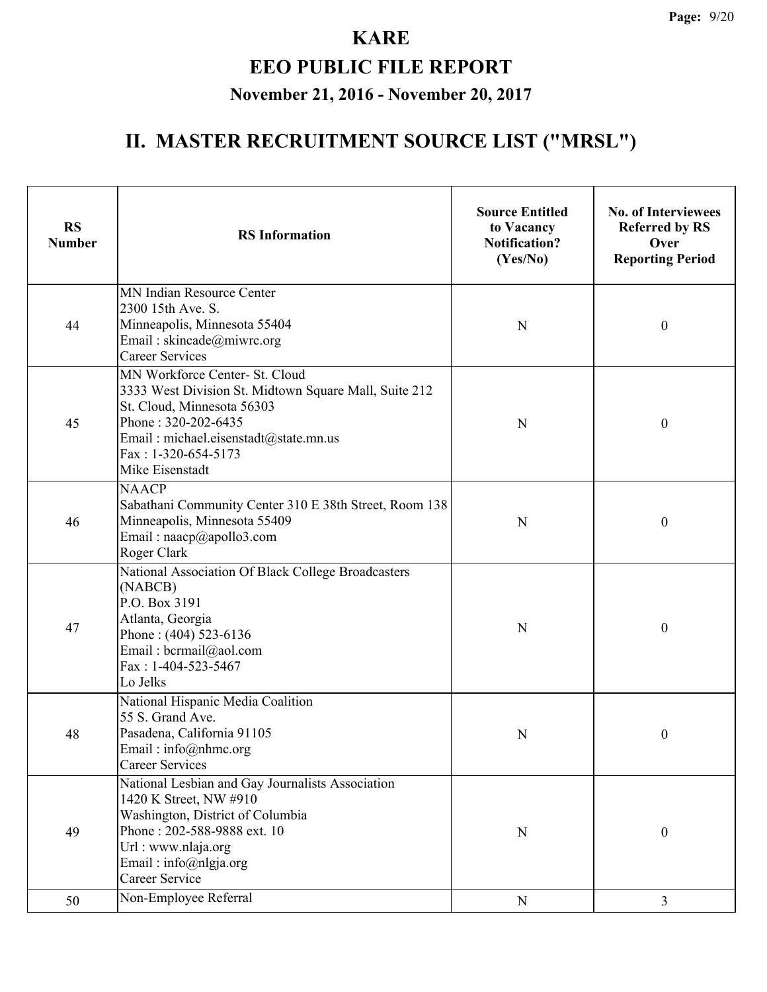| <b>RS</b><br><b>Number</b> | <b>RS</b> Information                                                                                                                                                                                                           | <b>Source Entitled</b><br>to Vacancy<br><b>Notification?</b><br>(Yes/No) | <b>No. of Interviewees</b><br><b>Referred by RS</b><br>Over<br><b>Reporting Period</b> |
|----------------------------|---------------------------------------------------------------------------------------------------------------------------------------------------------------------------------------------------------------------------------|--------------------------------------------------------------------------|----------------------------------------------------------------------------------------|
| 44                         | MN Indian Resource Center<br>2300 15th Ave. S.<br>Minneapolis, Minnesota 55404<br>Email: skincade@miwrc.org<br><b>Career Services</b>                                                                                           | N                                                                        | $\mathbf{0}$                                                                           |
| 45                         | MN Workforce Center- St. Cloud<br>3333 West Division St. Midtown Square Mall, Suite 212<br>St. Cloud, Minnesota 56303<br>Phone: 320-202-6435<br>Email: michael.eisenstadt@state.mn.us<br>Fax: 1-320-654-5173<br>Mike Eisenstadt | N                                                                        | $\boldsymbol{0}$                                                                       |
| 46                         | <b>NAACP</b><br>Sabathani Community Center 310 E 38th Street, Room 138<br>Minneapolis, Minnesota 55409<br>Email: naacp@apollo3.com<br>Roger Clark                                                                               | N                                                                        | $\boldsymbol{0}$                                                                       |
| 47                         | National Association Of Black College Broadcasters<br>(NABCB)<br>P.O. Box 3191<br>Atlanta, Georgia<br>Phone: $(404)$ 523-6136<br>Email: bcrmail@aol.com<br>Fax: 1-404-523-5467<br>Lo Jelks                                      | N                                                                        | $\boldsymbol{0}$                                                                       |
| 48                         | National Hispanic Media Coalition<br>55 S. Grand Ave.<br>Pasadena, California 91105<br>Email: info@nhmc.org<br><b>Career Services</b>                                                                                           | N                                                                        | 0                                                                                      |
| 49                         | National Lesbian and Gay Journalists Association<br>1420 K Street, NW #910<br>Washington, District of Columbia<br>Phone: 202-588-9888 ext. 10<br>Url: www.nlaja.org<br>Email: info@nlgja.org<br>Career Service                  | N                                                                        | $\boldsymbol{0}$                                                                       |
| 50                         | Non-Employee Referral                                                                                                                                                                                                           | ${\bf N}$                                                                | $\overline{3}$                                                                         |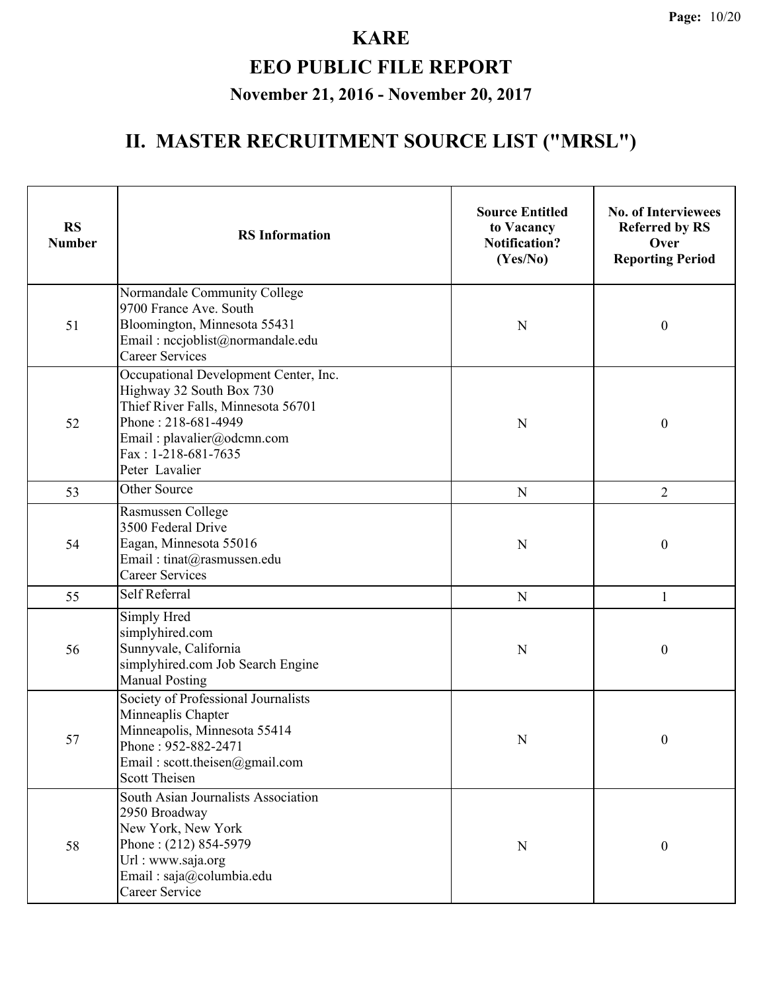#### **KARE EEO PUBLIC FILE REPORT**

#### **November 21, 2016 - November 20, 2017**

| <b>RS</b><br><b>Number</b> | <b>RS</b> Information                                                                                                                                                                                   | <b>Source Entitled</b><br>to Vacancy<br><b>Notification?</b><br>(Yes/No) | <b>No. of Interviewees</b><br><b>Referred by RS</b><br>Over<br><b>Reporting Period</b> |
|----------------------------|---------------------------------------------------------------------------------------------------------------------------------------------------------------------------------------------------------|--------------------------------------------------------------------------|----------------------------------------------------------------------------------------|
| 51                         | Normandale Community College<br>9700 France Ave. South<br>Bloomington, Minnesota 55431<br>Email: nccjoblist@normandale.edu<br><b>Career Services</b>                                                    | N                                                                        | $\boldsymbol{0}$                                                                       |
| 52                         | Occupational Development Center, Inc.<br>Highway 32 South Box 730<br>Thief River Falls, Minnesota 56701<br>Phone: 218-681-4949<br>Email: plavalier@odcmn.com<br>$Fax: 1-218-681-7635$<br>Peter Lavalier | N                                                                        | $\boldsymbol{0}$                                                                       |
| 53                         | Other Source                                                                                                                                                                                            | N                                                                        | $\overline{2}$                                                                         |
| 54                         | Rasmussen College<br>3500 Federal Drive<br>Eagan, Minnesota 55016<br>Email: tinat@rasmussen.edu<br><b>Career Services</b>                                                                               | N                                                                        | $\mathbf{0}$                                                                           |
| 55                         | Self Referral                                                                                                                                                                                           | N                                                                        | $\mathbf{1}$                                                                           |
| 56                         | Simply Hred<br>simplyhired.com<br>Sunnyvale, California<br>simplyhired.com Job Search Engine<br><b>Manual Posting</b>                                                                                   | N                                                                        | $\boldsymbol{0}$                                                                       |
| 57                         | Society of Professional Journalists<br>Minneaplis Chapter<br>Minneapolis, Minnesota 55414<br>Phone: 952-882-2471<br>Email: scott.theisen@gmail.com<br><b>Scott Theisen</b>                              | N                                                                        | $\boldsymbol{0}$                                                                       |
| 58                         | South Asian Journalists Association<br>2950 Broadway<br>New York, New York<br>Phone: (212) 854-5979<br>Url : www.saja.org<br>Email: saja@columbia.edu<br>Career Service                                 | N                                                                        | $\boldsymbol{0}$                                                                       |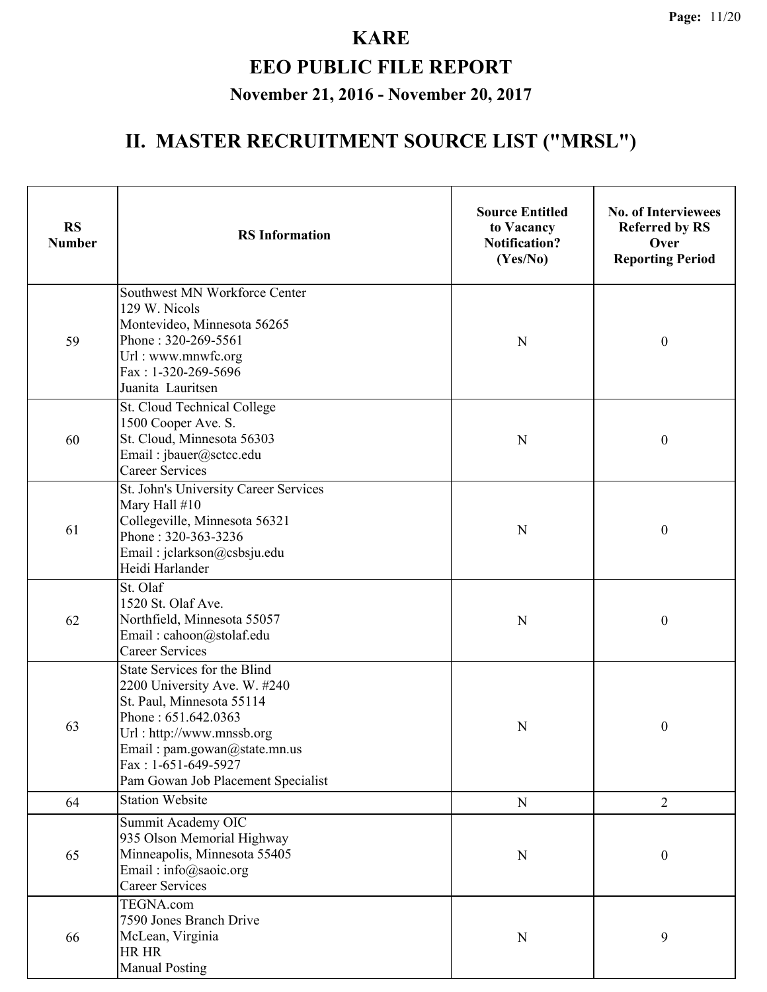| <b>RS</b><br><b>Number</b> | <b>RS</b> Information                                                                                                                                                                                                                               | <b>Source Entitled</b><br>to Vacancy<br><b>Notification?</b><br>(Yes/No) | <b>No. of Interviewees</b><br><b>Referred by RS</b><br>Over<br><b>Reporting Period</b> |
|----------------------------|-----------------------------------------------------------------------------------------------------------------------------------------------------------------------------------------------------------------------------------------------------|--------------------------------------------------------------------------|----------------------------------------------------------------------------------------|
| 59                         | Southwest MN Workforce Center<br>129 W. Nicols<br>Montevideo, Minnesota 56265<br>Phone: 320-269-5561<br>Url: www.mnwfc.org<br>Fax: 1-320-269-5696<br>Juanita Lauritsen                                                                              | $\mathbf N$                                                              | $\boldsymbol{0}$                                                                       |
| 60                         | St. Cloud Technical College<br>1500 Cooper Ave. S.<br>St. Cloud, Minnesota 56303<br>Email: jbauer@sctcc.edu<br><b>Career Services</b>                                                                                                               | N                                                                        | $\boldsymbol{0}$                                                                       |
| 61                         | St. John's University Career Services<br>Mary Hall #10<br>Collegeville, Minnesota 56321<br>Phone: 320-363-3236<br>Email: jclarkson@csbsju.edu<br>Heidi Harlander                                                                                    | N                                                                        | $\boldsymbol{0}$                                                                       |
| 62                         | St. Olaf<br>1520 St. Olaf Ave.<br>Northfield, Minnesota 55057<br>Email: cahoon@stolaf.edu<br><b>Career Services</b>                                                                                                                                 | N                                                                        | $\boldsymbol{0}$                                                                       |
| 63                         | <b>State Services for the Blind</b><br>2200 University Ave. W. #240<br>St. Paul, Minnesota 55114<br>Phone: 651.642.0363<br>Url: http://www.mnssb.org<br>Email: pam.gowan@state.mn.us<br>Fax: $1-651-649-5927$<br>Pam Gowan Job Placement Specialist | N                                                                        | $\boldsymbol{0}$                                                                       |
| 64                         | <b>Station Website</b>                                                                                                                                                                                                                              | ${\bf N}$                                                                | $\overline{2}$                                                                         |
| 65                         | Summit Academy OIC<br>935 Olson Memorial Highway<br>Minneapolis, Minnesota 55405<br>Email: info@saoic.org<br><b>Career Services</b>                                                                                                                 | $\mathbf N$                                                              | $\boldsymbol{0}$                                                                       |
| 66                         | TEGNA.com<br>7590 Jones Branch Drive<br>McLean, Virginia<br>HR HR<br><b>Manual Posting</b>                                                                                                                                                          | ${\bf N}$                                                                | 9                                                                                      |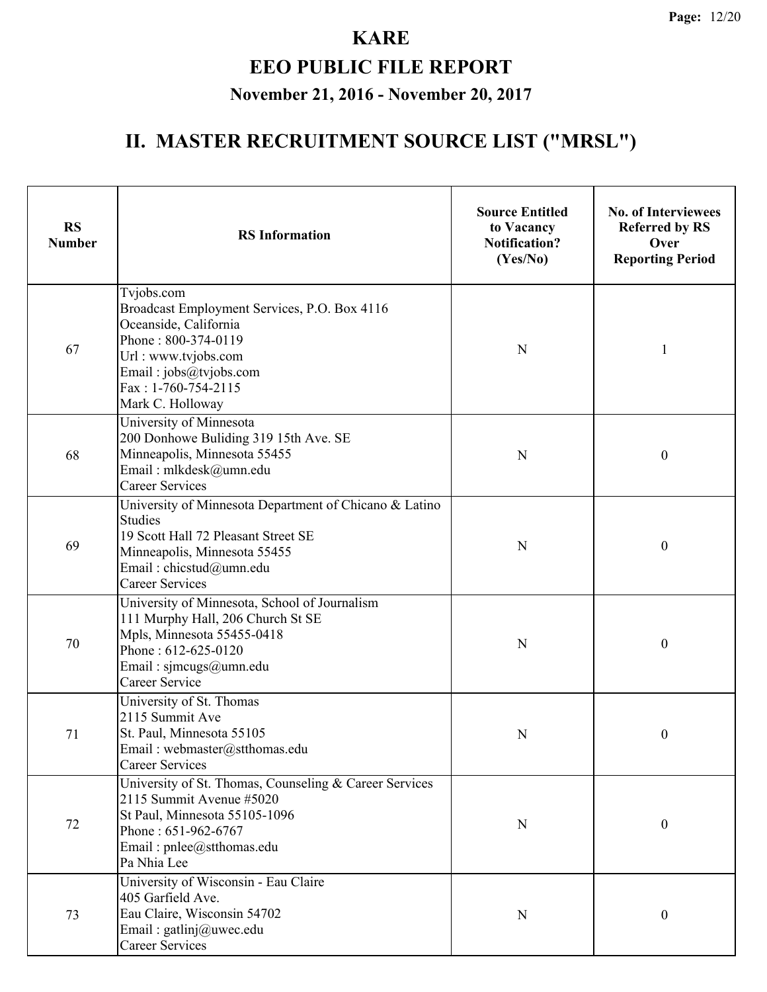| <b>RS</b><br><b>Number</b> | <b>RS</b> Information                                                                                                                                                                                  | <b>Source Entitled</b><br>to Vacancy<br><b>Notification?</b><br>(Yes/No) | <b>No. of Interviewees</b><br><b>Referred by RS</b><br>Over<br><b>Reporting Period</b> |
|----------------------------|--------------------------------------------------------------------------------------------------------------------------------------------------------------------------------------------------------|--------------------------------------------------------------------------|----------------------------------------------------------------------------------------|
| 67                         | Tvjobs.com<br>Broadcast Employment Services, P.O. Box 4116<br>Oceanside, California<br>Phone: 800-374-0119<br>Url: www.tvjobs.com<br>Email: jobs@tvjobs.com<br>Fax: 1-760-754-2115<br>Mark C. Holloway | N                                                                        |                                                                                        |
| 68                         | University of Minnesota<br>200 Donhowe Buliding 319 15th Ave. SE<br>Minneapolis, Minnesota 55455<br>Email: mlkdesk@umn.edu<br><b>Career Services</b>                                                   | N                                                                        | $\boldsymbol{0}$                                                                       |
| 69                         | University of Minnesota Department of Chicano & Latino<br><b>Studies</b><br>19 Scott Hall 72 Pleasant Street SE<br>Minneapolis, Minnesota 55455<br>Email: chicstud@umn.edu<br><b>Career Services</b>   | N                                                                        | $\boldsymbol{0}$                                                                       |
| 70                         | University of Minnesota, School of Journalism<br>111 Murphy Hall, 206 Church St SE<br>Mpls, Minnesota 55455-0418<br>Phone: 612-625-0120<br>Email: sjmcugs@umn.edu<br><b>Career Service</b>             | N                                                                        | $\boldsymbol{0}$                                                                       |
| 71                         | University of St. Thomas<br>2115 Summit Ave<br>St. Paul, Minnesota 55105<br>Email: webmaster@stthomas.edu<br><b>Career Services</b>                                                                    | N                                                                        | 0                                                                                      |
| 72                         | University of St. Thomas, Counseling & Career Services<br>2115 Summit Avenue #5020<br>St Paul, Minnesota 55105-1096<br>Phone: 651-962-6767<br>Email: pnlee@stthomas.edu<br>Pa Nhia Lee                 | N                                                                        | $\mathbf{0}$                                                                           |
| 73                         | University of Wisconsin - Eau Claire<br>405 Garfield Ave.<br>Eau Claire, Wisconsin 54702<br>Email: gatlinj@uwec.edu<br><b>Career Services</b>                                                          | N                                                                        | 0                                                                                      |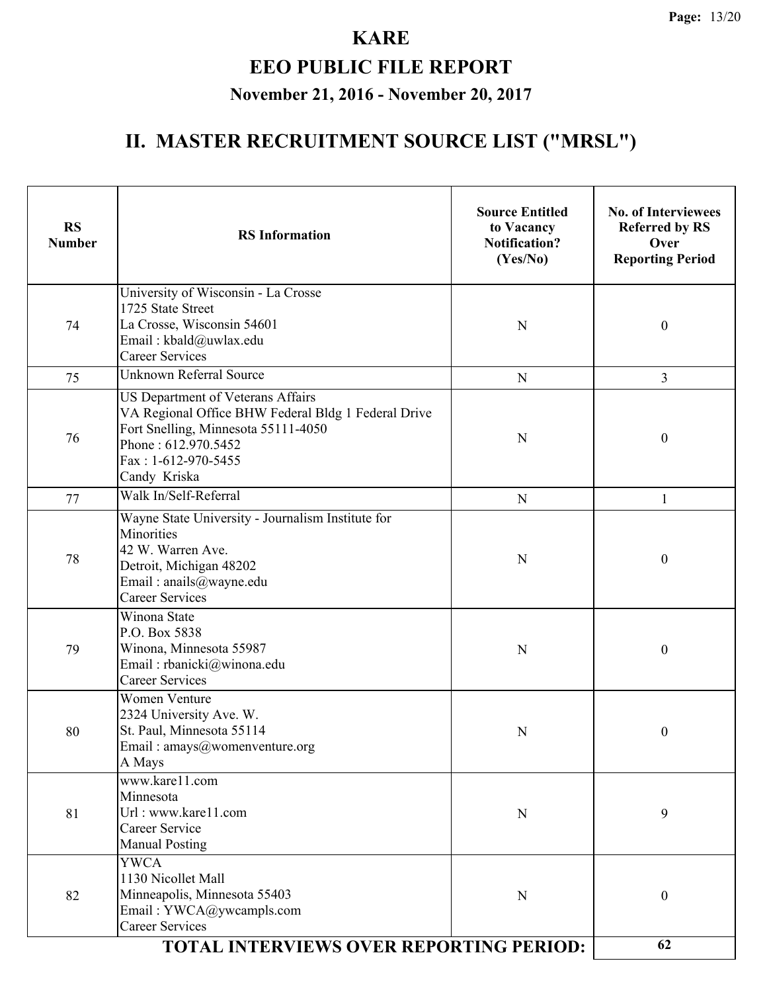| <b>RS</b><br><b>Number</b> | <b>RS</b> Information                                                                                                                                                                         | <b>Source Entitled</b><br>to Vacancy<br><b>Notification?</b><br>(Yes/No) | <b>No. of Interviewees</b><br><b>Referred by RS</b><br>Over<br><b>Reporting Period</b> |
|----------------------------|-----------------------------------------------------------------------------------------------------------------------------------------------------------------------------------------------|--------------------------------------------------------------------------|----------------------------------------------------------------------------------------|
| 74                         | University of Wisconsin - La Crosse<br>1725 State Street<br>La Crosse, Wisconsin 54601<br>Email: kbald@uwlax.edu<br><b>Career Services</b>                                                    | N                                                                        | $\boldsymbol{0}$                                                                       |
| 75                         | <b>Unknown Referral Source</b>                                                                                                                                                                | ${\bf N}$                                                                | 3                                                                                      |
| 76                         | US Department of Veterans Affairs<br>VA Regional Office BHW Federal Bldg 1 Federal Drive<br>Fort Snelling, Minnesota 55111-4050<br>Phone: 612.970.5452<br>Fax: 1-612-970-5455<br>Candy Kriska | N                                                                        | $\boldsymbol{0}$                                                                       |
| 77                         | Walk In/Self-Referral                                                                                                                                                                         | ${\bf N}$                                                                | 1                                                                                      |
| 78                         | Wayne State University - Journalism Institute for<br><b>Minorities</b><br>42 W. Warren Ave.<br>Detroit, Michigan 48202<br>Email: anails@wayne.edu<br><b>Career Services</b>                   | N                                                                        | $\boldsymbol{0}$                                                                       |
| 79                         | Winona State<br>P.O. Box 5838<br>Winona, Minnesota 55987<br>Email: rbanicki@winona.edu<br><b>Career Services</b>                                                                              | N                                                                        | $\boldsymbol{0}$                                                                       |
| 80                         | <b>Women Venture</b><br>2324 University Ave. W.<br>St. Paul, Minnesota 55114<br>Email: amays@womenventure.org<br>A Mays                                                                       | N                                                                        | 0                                                                                      |
| 81                         | www.kare11.com<br>Minnesota<br>Url: www.kare11.com<br>Career Service<br><b>Manual Posting</b>                                                                                                 | $\mathbf N$                                                              | 9                                                                                      |
| 82                         | <b>YWCA</b><br>1130 Nicollet Mall<br>Minneapolis, Minnesota 55403<br>Email: YWCA@ywcampls.com<br><b>Career Services</b><br><b>TOTAL INTERVIEWS OVER REPORTING PERIOD:</b>                     | $\mathbf N$                                                              | $\boldsymbol{0}$                                                                       |
|                            | 62                                                                                                                                                                                            |                                                                          |                                                                                        |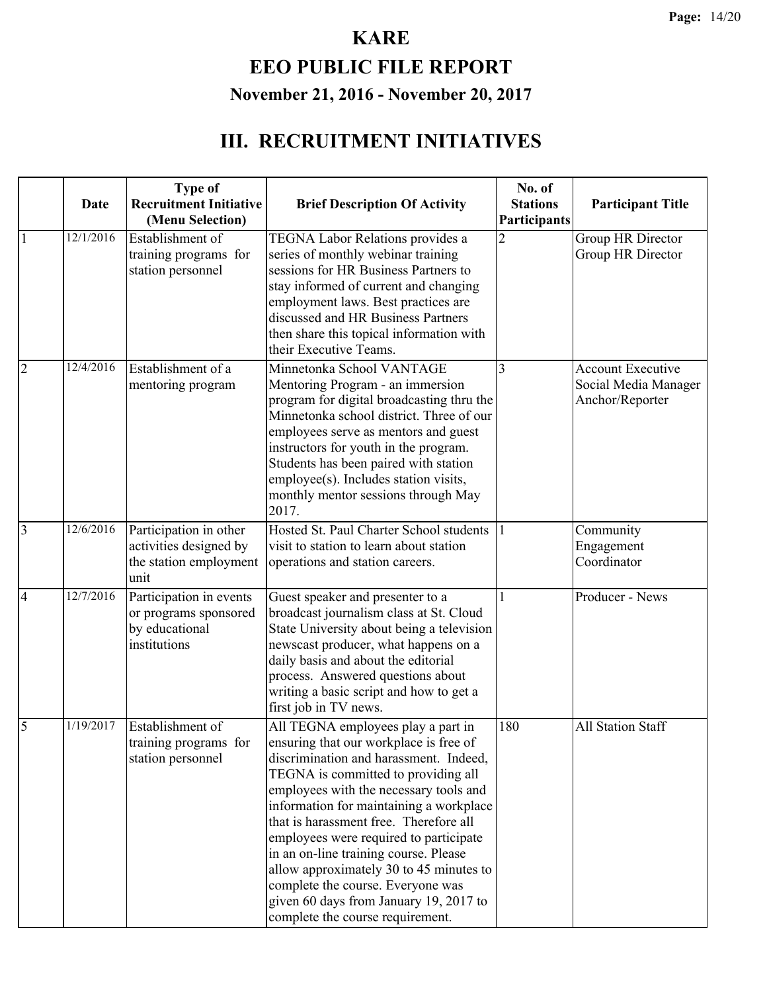# **EEO PUBLIC FILE REPORT November 21, 2016 - November 20, 2017**

|                | Date      | <b>Type of</b><br><b>Recruitment Initiative</b>                                    | <b>Brief Description Of Activity</b>                                                                                                                                                                                                                                                                                                                                                                                                                                                                                                                                  | No. of<br><b>Stations</b> | <b>Participant Title</b>                                            |
|----------------|-----------|------------------------------------------------------------------------------------|-----------------------------------------------------------------------------------------------------------------------------------------------------------------------------------------------------------------------------------------------------------------------------------------------------------------------------------------------------------------------------------------------------------------------------------------------------------------------------------------------------------------------------------------------------------------------|---------------------------|---------------------------------------------------------------------|
|                |           | (Menu Selection)                                                                   |                                                                                                                                                                                                                                                                                                                                                                                                                                                                                                                                                                       | Participants              |                                                                     |
| 1              | 12/1/2016 | Establishment of<br>training programs for<br>station personnel                     | <b>TEGNA Labor Relations provides a</b><br>series of monthly webinar training<br>sessions for HR Business Partners to<br>stay informed of current and changing<br>employment laws. Best practices are<br>discussed and HR Business Partners<br>then share this topical information with<br>their Executive Teams.                                                                                                                                                                                                                                                     | $\overline{2}$            | Group HR Director<br>Group HR Director                              |
| $\overline{2}$ | 12/4/2016 | Establishment of a<br>mentoring program                                            | Minnetonka School VANTAGE<br>Mentoring Program - an immersion<br>program for digital broadcasting thru the<br>Minnetonka school district. Three of our<br>employees serve as mentors and guest<br>instructors for youth in the program.<br>Students has been paired with station<br>employee(s). Includes station visits,<br>monthly mentor sessions through May<br>2017.                                                                                                                                                                                             | 3                         | <b>Account Executive</b><br>Social Media Manager<br>Anchor/Reporter |
| $\overline{3}$ | 12/6/2016 | Participation in other<br>activities designed by<br>the station employment<br>unit | Hosted St. Paul Charter School students<br>visit to station to learn about station<br>operations and station careers.                                                                                                                                                                                                                                                                                                                                                                                                                                                 |                           | Community<br>Engagement<br>Coordinator                              |
| $\overline{4}$ | 12/7/2016 | Participation in events<br>or programs sponsored<br>by educational<br>institutions | Guest speaker and presenter to a<br>broadcast journalism class at St. Cloud<br>State University about being a television<br>newscast producer, what happens on a<br>daily basis and about the editorial<br>process. Answered questions about<br>writing a basic script and how to get a<br>first job in TV news.                                                                                                                                                                                                                                                      |                           | Producer - News                                                     |
| 5              | 1/19/2017 | Establishment of<br>station personnel                                              | All TEGNA employees play a part in<br>training programs for   ensuring that our workplace is free of<br>discrimination and harassment. Indeed,<br>TEGNA is committed to providing all<br>employees with the necessary tools and<br>information for maintaining a workplace<br>that is harassment free. Therefore all<br>employees were required to participate<br>in an on-line training course. Please<br>allow approximately 30 to 45 minutes to<br>complete the course. Everyone was<br>given 60 days from January 19, 2017 to<br>complete the course requirement. | 180                       | <b>All Station Staff</b>                                            |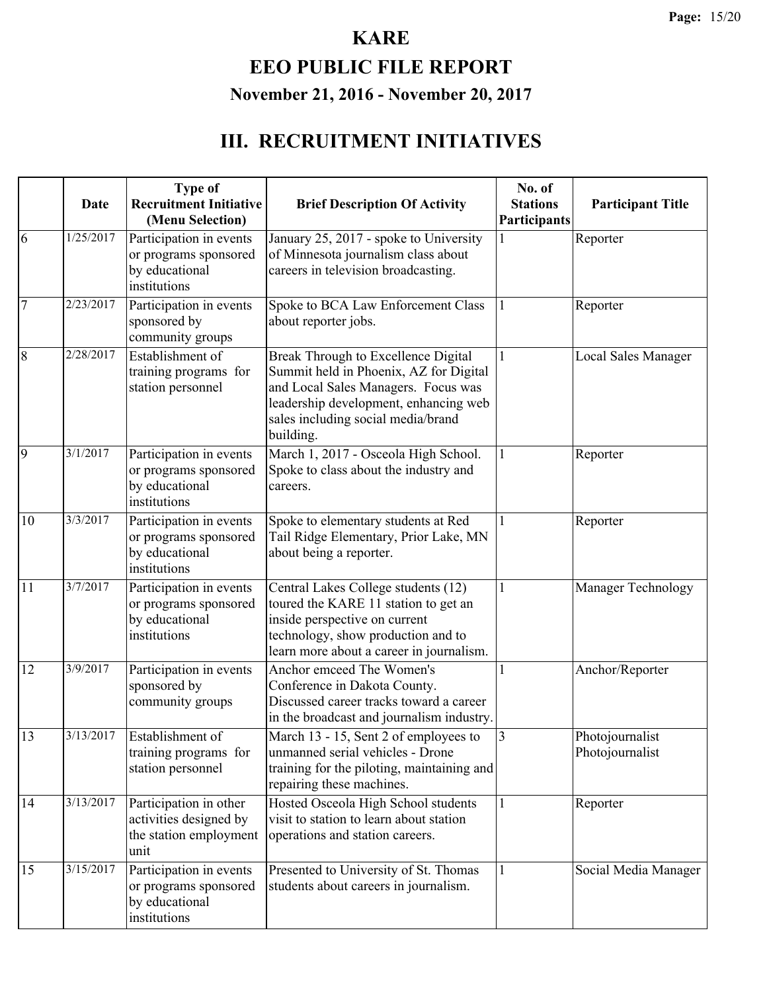#### **EEO PUBLIC FILE REPORT November 21, 2016 - November 20, 2017**

|                | <b>Date</b> | <b>Type of</b><br><b>Recruitment Initiative</b><br>(Menu Selection)                | <b>Brief Description Of Activity</b>                                                                                                                                                                             | No. of<br><b>Stations</b><br>Participants | <b>Participant Title</b>           |
|----------------|-------------|------------------------------------------------------------------------------------|------------------------------------------------------------------------------------------------------------------------------------------------------------------------------------------------------------------|-------------------------------------------|------------------------------------|
| 6              | 1/25/2017   | Participation in events<br>or programs sponsored<br>by educational<br>institutions | January 25, 2017 - spoke to University<br>of Minnesota journalism class about<br>careers in television broadcasting.                                                                                             |                                           | Reporter                           |
| $\overline{7}$ | 2/23/2017   | Participation in events<br>sponsored by<br>community groups                        | Spoke to BCA Law Enforcement Class<br>about reporter jobs.                                                                                                                                                       | 1                                         | Reporter                           |
| $\overline{8}$ | 2/28/2017   | Establishment of<br>training programs for<br>station personnel                     | Break Through to Excellence Digital<br>Summit held in Phoenix, AZ for Digital<br>and Local Sales Managers. Focus was<br>leadership development, enhancing web<br>sales including social media/brand<br>building. | 1                                         | <b>Local Sales Manager</b>         |
| $\overline{9}$ | 3/1/2017    | Participation in events<br>or programs sponsored<br>by educational<br>institutions | March 1, 2017 - Osceola High School.<br>Spoke to class about the industry and<br>careers.                                                                                                                        | $\mathbf{1}$                              | Reporter                           |
| 10             | 3/3/2017    | Participation in events<br>or programs sponsored<br>by educational<br>institutions | Spoke to elementary students at Red<br>Tail Ridge Elementary, Prior Lake, MN<br>about being a reporter.                                                                                                          | 1                                         | Reporter                           |
| 11             | 3/7/2017    | Participation in events<br>or programs sponsored<br>by educational<br>institutions | Central Lakes College students (12)<br>toured the KARE 11 station to get an<br>inside perspective on current<br>technology, show production and to<br>learn more about a career in journalism.                   | 1                                         | Manager Technology                 |
| 12             | 3/9/2017    | Participation in events<br>sponsored by<br>community groups                        | Anchor emceed The Women's<br>Conference in Dakota County.<br>Discussed career tracks toward a career<br>in the broadcast and journalism industry.                                                                |                                           | Anchor/Reporter                    |
| 13             | 3/13/2017   | Establishment of<br>training programs for<br>station personnel                     | March 13 - 15, Sent 2 of employees to<br>unmanned serial vehicles - Drone<br>training for the piloting, maintaining and<br>repairing these machines.                                                             | $\overline{3}$                            | Photojournalist<br>Photojournalist |
| 14             | 3/13/2017   | Participation in other<br>activities designed by<br>the station employment<br>unit | Hosted Osceola High School students<br>visit to station to learn about station<br>operations and station careers.                                                                                                | 1                                         | Reporter                           |
| 15             | 3/15/2017   | Participation in events<br>or programs sponsored<br>by educational<br>institutions | Presented to University of St. Thomas<br>students about careers in journalism.                                                                                                                                   |                                           | Social Media Manager               |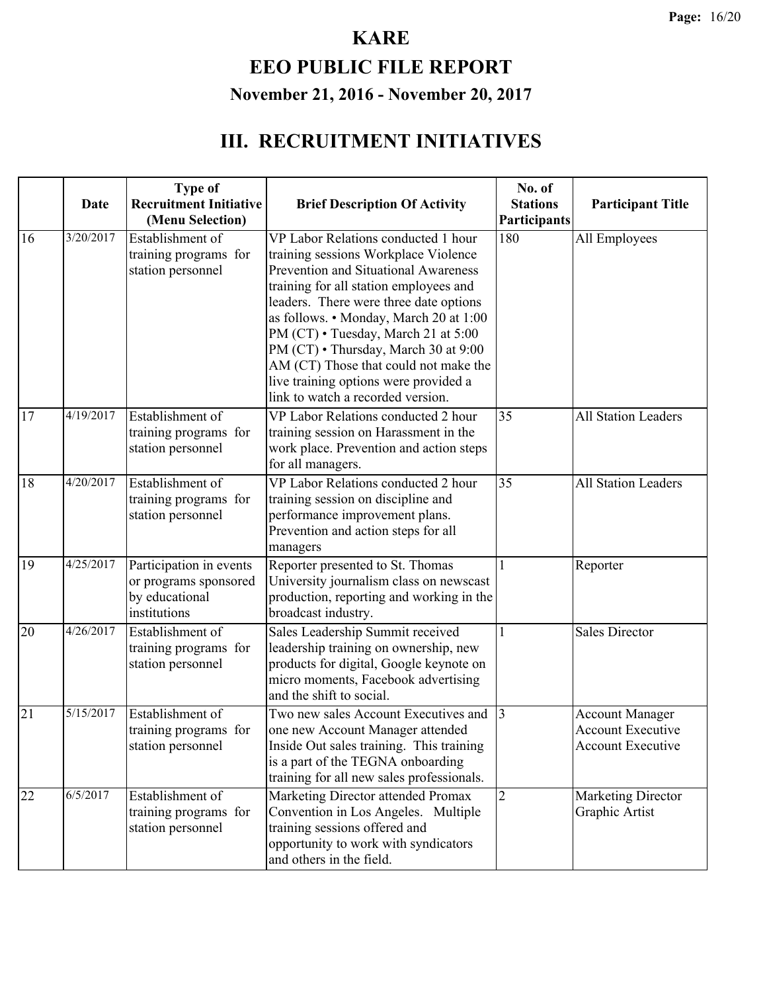# **EEO PUBLIC FILE REPORT November 21, 2016 - November 20, 2017**

|    | Date      | <b>Type of</b><br><b>Recruitment Initiative</b><br>(Menu Selection)                | <b>Brief Description Of Activity</b>                                                                                                                                                                                                                                                                                                                                                                                                                    | No. of<br><b>Stations</b><br>Participants | <b>Participant Title</b>                                                       |
|----|-----------|------------------------------------------------------------------------------------|---------------------------------------------------------------------------------------------------------------------------------------------------------------------------------------------------------------------------------------------------------------------------------------------------------------------------------------------------------------------------------------------------------------------------------------------------------|-------------------------------------------|--------------------------------------------------------------------------------|
| 16 | 3/20/2017 | Establishment of<br>training programs for<br>station personnel                     | VP Labor Relations conducted 1 hour<br>training sessions Workplace Violence<br>Prevention and Situational Awareness<br>training for all station employees and<br>leaders. There were three date options<br>as follows. • Monday, March 20 at 1:00<br>PM (CT) • Tuesday, March 21 at 5:00<br>PM (CT) • Thursday, March 30 at 9:00<br>AM (CT) Those that could not make the<br>live training options were provided a<br>link to watch a recorded version. | 180                                       | All Employees                                                                  |
| 17 | 4/19/2017 | Establishment of<br>training programs for<br>station personnel                     | VP Labor Relations conducted 2 hour<br>training session on Harassment in the<br>work place. Prevention and action steps<br>for all managers.                                                                                                                                                                                                                                                                                                            | 35                                        | All Station Leaders                                                            |
| 18 | 4/20/2017 | Establishment of<br>training programs for<br>station personnel                     | VP Labor Relations conducted 2 hour<br>training session on discipline and<br>performance improvement plans.<br>Prevention and action steps for all<br>managers                                                                                                                                                                                                                                                                                          | 35                                        | <b>All Station Leaders</b>                                                     |
| 19 | 4/25/2017 | Participation in events<br>or programs sponsored<br>by educational<br>institutions | Reporter presented to St. Thomas<br>University journalism class on newscast<br>production, reporting and working in the<br>broadcast industry.                                                                                                                                                                                                                                                                                                          |                                           | Reporter                                                                       |
| 20 | 4/26/2017 | Establishment of<br>training programs for<br>station personnel                     | Sales Leadership Summit received<br>leadership training on ownership, new<br>products for digital, Google keynote on<br>micro moments, Facebook advertising<br>and the shift to social.                                                                                                                                                                                                                                                                 | 1                                         | <b>Sales Director</b>                                                          |
| 21 | 5/15/2017 | Establishment of<br>training programs for<br>station personnel                     | Two new sales Account Executives and<br>one new Account Manager attended<br>Inside Out sales training. This training<br>is a part of the TEGNA onboarding<br>training for all new sales professionals.                                                                                                                                                                                                                                                  | $\vert$ 3                                 | <b>Account Manager</b><br><b>Account Executive</b><br><b>Account Executive</b> |
| 22 | 6/5/2017  | Establishment of<br>training programs for<br>station personnel                     | Marketing Director attended Promax<br>Convention in Los Angeles. Multiple<br>training sessions offered and<br>opportunity to work with syndicators<br>and others in the field.                                                                                                                                                                                                                                                                          | $\overline{2}$                            | <b>Marketing Director</b><br>Graphic Artist                                    |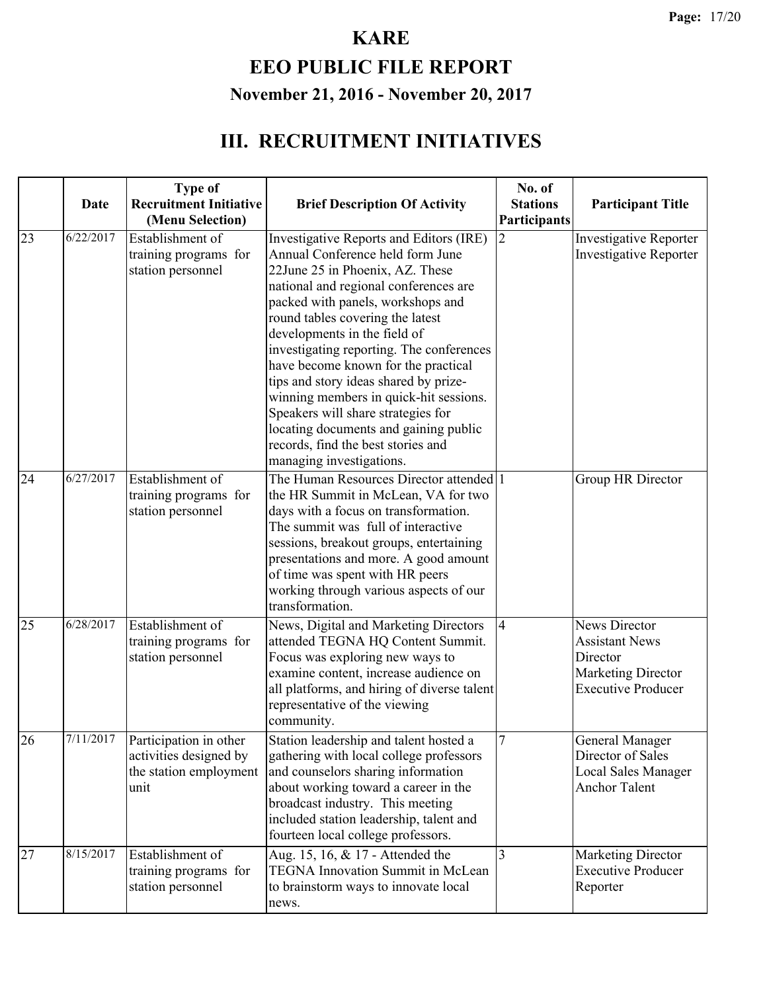### **EEO PUBLIC FILE REPORT November 21, 2016 - November 20, 2017**

|    |           | <b>Type of</b>                                                                                 |                                                                                                                                                                                                                                                                                                                                                                                                                                                                                                                                                                                         | No. of                         |                                                                                                                     |
|----|-----------|------------------------------------------------------------------------------------------------|-----------------------------------------------------------------------------------------------------------------------------------------------------------------------------------------------------------------------------------------------------------------------------------------------------------------------------------------------------------------------------------------------------------------------------------------------------------------------------------------------------------------------------------------------------------------------------------------|--------------------------------|---------------------------------------------------------------------------------------------------------------------|
|    | Date      | <b>Recruitment Initiative</b>                                                                  | <b>Brief Description Of Activity</b>                                                                                                                                                                                                                                                                                                                                                                                                                                                                                                                                                    | <b>Stations</b>                | <b>Participant Title</b>                                                                                            |
| 23 | 6/22/2017 | (Menu Selection)<br>Establishment of<br>training programs for<br>station personnel             | Investigative Reports and Editors (IRE)<br>Annual Conference held form June<br>22June 25 in Phoenix, AZ. These<br>national and regional conferences are<br>packed with panels, workshops and<br>round tables covering the latest<br>developments in the field of<br>investigating reporting. The conferences<br>have become known for the practical<br>tips and story ideas shared by prize-<br>winning members in quick-hit sessions.<br>Speakers will share strategies for<br>locating documents and gaining public<br>records, find the best stories and<br>managing investigations. | Participants<br>$\overline{2}$ | <b>Investigative Reporter</b><br><b>Investigative Reporter</b>                                                      |
| 24 | 6/27/2017 | Establishment of<br>training programs for<br>station personnel                                 | The Human Resources Director attended 1<br>the HR Summit in McLean, VA for two<br>days with a focus on transformation.<br>The summit was full of interactive<br>sessions, breakout groups, entertaining<br>presentations and more. A good amount<br>of time was spent with HR peers<br>working through various aspects of our<br>transformation.                                                                                                                                                                                                                                        |                                | Group HR Director                                                                                                   |
| 25 | 6/28/2017 | Establishment of<br>training programs for<br>station personnel                                 | News, Digital and Marketing Directors<br>attended TEGNA HQ Content Summit.<br>Focus was exploring new ways to<br>examine content, increase audience on<br>all platforms, and hiring of diverse talent<br>representative of the viewing<br>community.                                                                                                                                                                                                                                                                                                                                    | $\vert 4$                      | <b>News Director</b><br><b>Assistant News</b><br>Director<br><b>Marketing Director</b><br><b>Executive Producer</b> |
| 26 |           | $7/11/2017$ Participation in other<br>activities designed by<br>the station employment<br>unit | Station leadership and talent hosted a<br>gathering with local college professors<br>and counselors sharing information<br>about working toward a career in the<br>broadcast industry. This meeting<br>included station leadership, talent and<br>fourteen local college professors.                                                                                                                                                                                                                                                                                                    | 7                              | General Manager<br>Director of Sales<br><b>Local Sales Manager</b><br><b>Anchor Talent</b>                          |
| 27 | 8/15/2017 | Establishment of<br>training programs for<br>station personnel                                 | Aug. 15, 16, & 17 - Attended the<br>TEGNA Innovation Summit in McLean<br>to brainstorm ways to innovate local<br>news.                                                                                                                                                                                                                                                                                                                                                                                                                                                                  | 3                              | <b>Marketing Director</b><br><b>Executive Producer</b><br>Reporter                                                  |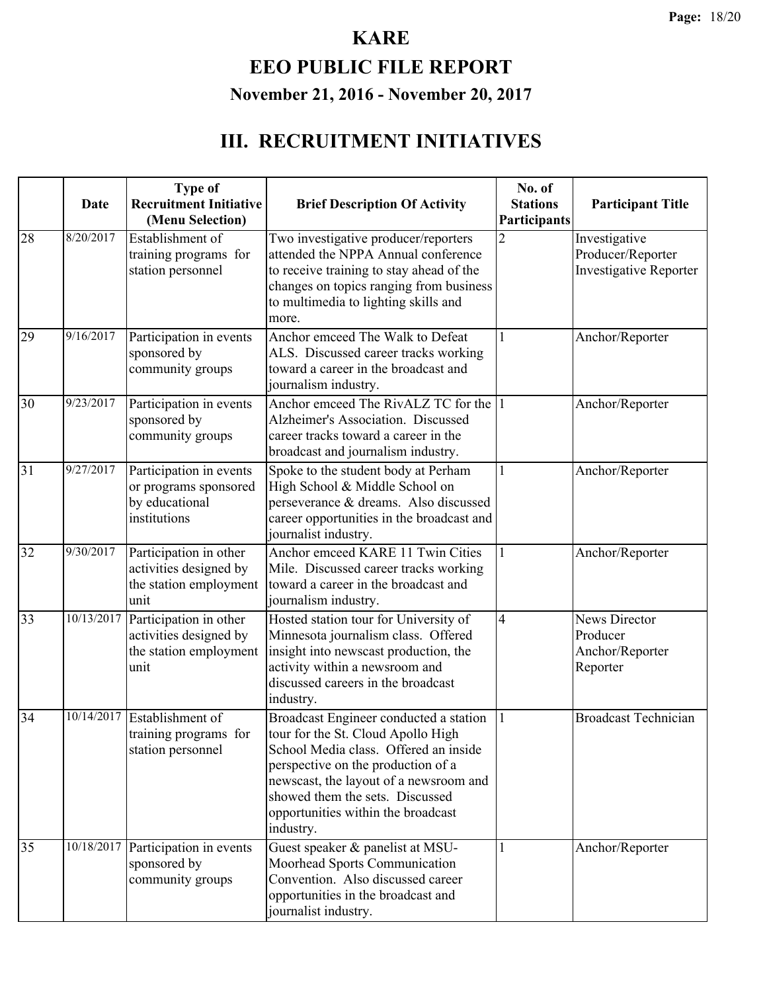# **EEO PUBLIC FILE REPORT November 21, 2016 - November 20, 2017**

|    | <b>Date</b> | <b>Type of</b><br><b>Recruitment Initiative</b><br>(Menu Selection)                | <b>Brief Description Of Activity</b>                                                                                                                                                                                                                                                        | No. of<br><b>Stations</b><br>Participants | <b>Participant Title</b>                                            |
|----|-------------|------------------------------------------------------------------------------------|---------------------------------------------------------------------------------------------------------------------------------------------------------------------------------------------------------------------------------------------------------------------------------------------|-------------------------------------------|---------------------------------------------------------------------|
| 28 | 8/20/2017   | Establishment of<br>training programs for<br>station personnel                     | Two investigative producer/reporters<br>attended the NPPA Annual conference<br>to receive training to stay ahead of the<br>changes on topics ranging from business<br>to multimedia to lighting skills and<br>more.                                                                         | $\overline{2}$                            | Investigative<br>Producer/Reporter<br><b>Investigative Reporter</b> |
| 29 | 9/16/2017   | Participation in events<br>sponsored by<br>community groups                        | Anchor emceed The Walk to Defeat<br>ALS. Discussed career tracks working<br>toward a career in the broadcast and<br>journalism industry.                                                                                                                                                    | 1                                         | Anchor/Reporter                                                     |
| 30 | 9/23/2017   | Participation in events<br>sponsored by<br>community groups                        | Anchor emceed The RivALZ TC for the 1<br>Alzheimer's Association. Discussed<br>career tracks toward a career in the<br>broadcast and journalism industry.                                                                                                                                   |                                           | Anchor/Reporter                                                     |
| 31 | 9/27/2017   | Participation in events<br>or programs sponsored<br>by educational<br>institutions | Spoke to the student body at Perham<br>High School & Middle School on<br>perseverance & dreams. Also discussed<br>career opportunities in the broadcast and<br>journalist industry.                                                                                                         | 1                                         | Anchor/Reporter                                                     |
| 32 | 9/30/2017   | Participation in other<br>activities designed by<br>the station employment<br>unit | Anchor emceed KARE 11 Twin Cities<br>Mile. Discussed career tracks working<br>toward a career in the broadcast and<br>journalism industry.                                                                                                                                                  | 1                                         | Anchor/Reporter                                                     |
| 33 | 10/13/2017  | Participation in other<br>activities designed by<br>the station employment<br>unit | Hosted station tour for University of<br>Minnesota journalism class. Offered<br>insight into newscast production, the<br>activity within a newsroom and<br>discussed careers in the broadcast<br>industry.                                                                                  | $\overline{4}$                            | News Director<br>Producer<br>Anchor/Reporter<br>Reporter            |
| 34 | 10/14/2017  | Establishment of<br>training programs for<br>station personnel                     | Broadcast Engineer conducted a station<br>tour for the St. Cloud Apollo High<br>School Media class. Offered an inside<br>perspective on the production of a<br>newscast, the layout of a newsroom and<br>showed them the sets. Discussed<br>opportunities within the broadcast<br>industry. | 1                                         | <b>Broadcast Technician</b>                                         |
| 35 | 10/18/2017  | Participation in events<br>sponsored by<br>community groups                        | Guest speaker & panelist at MSU-<br>Moorhead Sports Communication<br>Convention. Also discussed career<br>opportunities in the broadcast and<br>journalist industry.                                                                                                                        | 1                                         | Anchor/Reporter                                                     |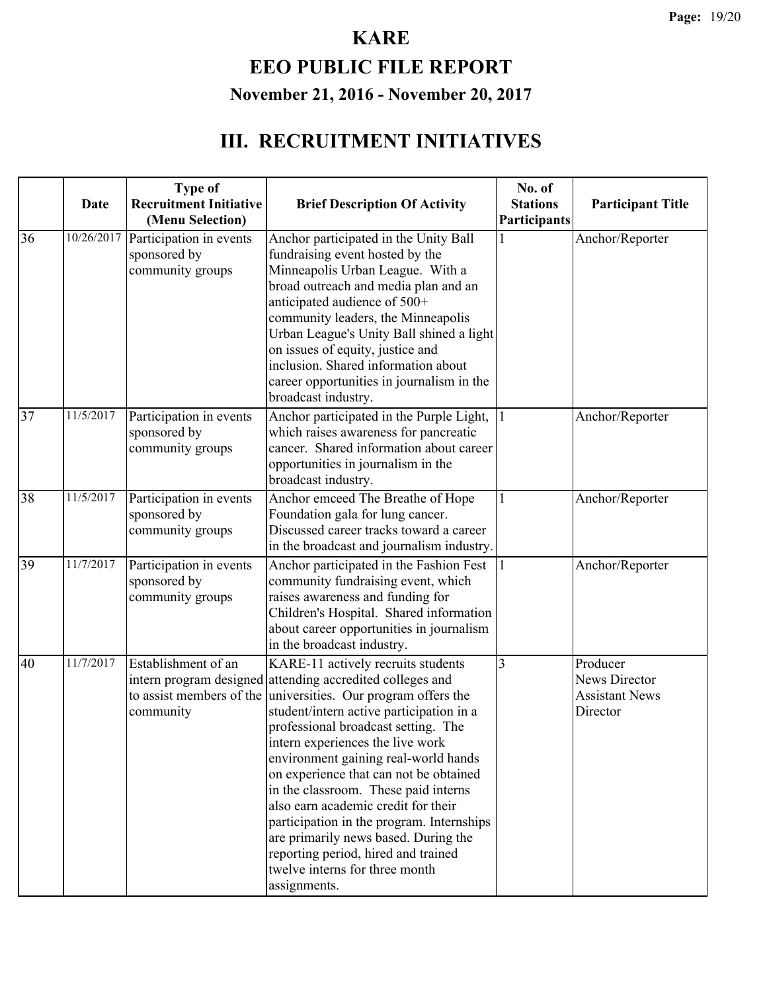# **EEO PUBLIC FILE REPORT November 21, 2016 - November 20, 2017**

|    | <b>Date</b> | <b>Type of</b><br><b>Recruitment Initiative</b><br>(Menu Selection) | <b>Brief Description Of Activity</b>                                                                                                                                                                                                                                                                                                                                                                                                                                                                                                                                                                                                   | No. of<br><b>Stations</b><br>Participants | <b>Participant Title</b>                                       |
|----|-------------|---------------------------------------------------------------------|----------------------------------------------------------------------------------------------------------------------------------------------------------------------------------------------------------------------------------------------------------------------------------------------------------------------------------------------------------------------------------------------------------------------------------------------------------------------------------------------------------------------------------------------------------------------------------------------------------------------------------------|-------------------------------------------|----------------------------------------------------------------|
| 36 | 10/26/2017  | Participation in events<br>sponsored by<br>community groups         | Anchor participated in the Unity Ball<br>fundraising event hosted by the<br>Minneapolis Urban League. With a<br>broad outreach and media plan and an<br>anticipated audience of 500+<br>community leaders, the Minneapolis<br>Urban League's Unity Ball shined a light<br>on issues of equity, justice and<br>inclusion. Shared information about<br>career opportunities in journalism in the<br>broadcast industry.                                                                                                                                                                                                                  |                                           | Anchor/Reporter                                                |
| 37 | 11/5/2017   | Participation in events<br>sponsored by<br>community groups         | Anchor participated in the Purple Light,<br>which raises awareness for pancreatic<br>cancer. Shared information about career<br>opportunities in journalism in the<br>broadcast industry.                                                                                                                                                                                                                                                                                                                                                                                                                                              | 1                                         | Anchor/Reporter                                                |
| 38 | 11/5/2017   | Participation in events<br>sponsored by<br>community groups         | Anchor emceed The Breathe of Hope<br>Foundation gala for lung cancer.<br>Discussed career tracks toward a career<br>in the broadcast and journalism industry.                                                                                                                                                                                                                                                                                                                                                                                                                                                                          | 1                                         | Anchor/Reporter                                                |
| 39 | 11/7/2017   | Participation in events<br>sponsored by<br>community groups         | Anchor participated in the Fashion Fest<br>community fundraising event, which<br>raises awareness and funding for<br>Children's Hospital. Shared information<br>about career opportunities in journalism<br>in the broadcast industry.                                                                                                                                                                                                                                                                                                                                                                                                 |                                           | Anchor/Reporter                                                |
| 40 | 11/7/2017   | Establishment of an<br>community                                    | KARE-11 actively recruits students<br>intern program designed attending accredited colleges and<br>to assist members of the universities. Our program offers the<br>student/intern active participation in a<br>professional broadcast setting. The<br>intern experiences the live work<br>environment gaining real-world hands<br>on experience that can not be obtained<br>in the classroom. These paid interns<br>also earn academic credit for their<br>participation in the program. Internships<br>are primarily news based. During the<br>reporting period, hired and trained<br>twelve interns for three month<br>assignments. | $\overline{3}$                            | Producer<br>News Director<br><b>Assistant News</b><br>Director |